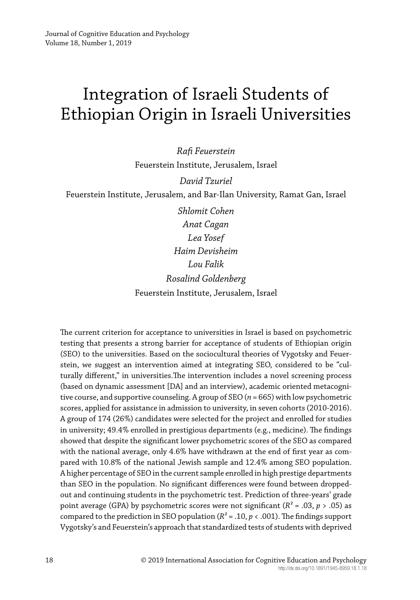# Integration of Israeli Students of Ethiopian Origin in Israeli Universities

*Rafi Feuerstein* Feuerstein Institute, Jerusalem, Israel

*David Tzuriel* Feuerstein Institute, Jerusalem, and Bar-Ilan University, Ramat Gan, Israel

> *Shlomit Cohen Anat Cagan Lea Yosef Haim Devisheim Lou Falik Rosalind Goldenberg* Feuerstein Institute, Jerusalem, Israel

The current criterion for acceptance to universities in Israel is based on psychometric testing that presents a strong barrier for acceptance of students of Ethiopian origin (SEO) to the universities. Based on the sociocultural theories of Vygotsky and Feuerstein, we suggest an intervention aimed at integrating SEO, considered to be "culturally different," in universities.The intervention includes a novel screening process (based on dynamic assessment [DA] and an interview), academic oriented metacognitive course, and supportive counseling. A group of SEO (*n* = 665) with low psychometric scores, applied for assistance in admission to university, in seven cohorts (2010-2016). A group of 174 (26%) candidates were selected for the project and enrolled for studies in university; 49.4% enrolled in prestigious departments (e.g., medicine). The findings showed that despite the significant lower psychometric scores of the SEO as compared with the national average, only 4.6% have withdrawn at the end of first year as compared with 10.8% of the national Jewish sample and 12.4% among SEO population. A higher percentage of SEO in the current sample enrolled in high prestige departments than SEO in the population. No significant differences were found between droppedout and continuing students in the psychometric test. Prediction of three-years' grade point average (GPA) by psychometric scores were not significant (*R²* = .03, *p* > .05) as compared to the prediction in SEO population ( $R^2$  = .10,  $p$  < .001). The findings support Vygotsky's and Feuerstein's approach that standardized tests of students with deprived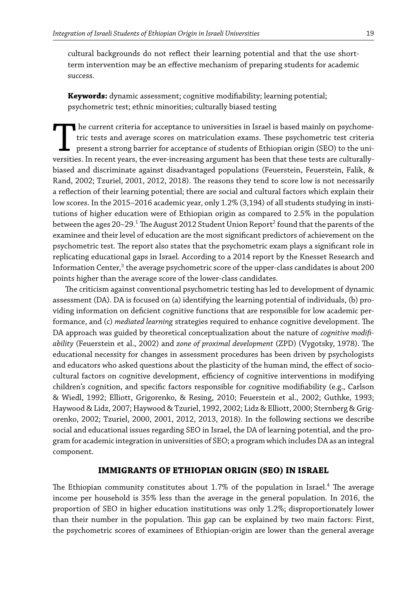cultural backgrounds do not reflect their learning potential and that the use shortterm intervention may be an effective mechanism of preparing students for academic success.

**Keywords:** dynamic assessment; cognitive modifiability; learning potential; psychometric test; ethnic minorities; culturally biased testing

The current criteria for acceptance to universities in Israel is based mainly on psychometric tests and average scores on matriculation exams. These psychometric test criteria present a strong barrier for acceptance of stu he current criteria for acceptance to universities in Israel is based mainly on psychometric tests and average scores on matriculation exams. These psychometric test criteria present a strong barrier for acceptance of students of Ethiopian origin (SEO) to the unibiased and discriminate against disadvantaged populations (Feuerstein, Feuerstein, Falik, & Rand, 2002; Tzuriel, 2001, 2012, 2018). The reasons they tend to score low is not necessarily a reflection of their learning potential; there are social and cultural factors which explain their low scores. In the 2015–2016 academic year, only 1.2% (3,194) of all students studying in institutions of higher education were of Ethiopian origin as compared to 2.5% in the population between the ages 20–29. $^{\rm 1}$  The August 2012 Student Union Report $^{\rm 2}$  found that the parents of the examinee and their level of education are the most significant predictors of achievement on the psychometric test. The report also states that the psychometric exam plays a significant role in replicating educational gaps in Israel. According to a 2014 report by the Knesset Research and Information Center, $^3$  the average psychometric score of the upper-class candidates is about 200  $\,$ points higher than the average score of the lower-class candidates.

The criticism against conventional psychometric testing has led to development of dynamic assessment (DA). DA is focused on (a) identifying the learning potential of individuals, (b) providing information on deficient cognitive functions that are responsible for low academic performance, and (c) *mediated learning* strategies required to enhance cognitive development. The DA approach was guided by theoretical conceptualization about the nature of *cognitive modifiability* (Feuerstein et al., 2002) and *zone of proximal development* (ZPD) (Vygotsky, 1978). The educational necessity for changes in assessment procedures has been driven by psychologists and educators who asked questions about the plasticity of the human mind, the effect of sociocultural factors on cognitive development, efficiency of cognitive interventions in modifying children's cognition, and specific factors responsible for cognitive modifiability (e.g., Carlson & Wiedl, 1992; Elliott, Grigorenko, & Resing, 2010; Feuerstein et al., 2002; Guthke, 1993; Haywood & Lidz, 2007; Haywood & Tzuriel, 1992, 2002; Lidz & Elliott, 2000; Sternberg & Grigorenko, 2002; Tzuriel, 2000, 2001, 2012, 2013, 2018). In the following sections we describe social and educational issues regarding SEO in Israel, the DA of learning potential, and the program for academic integration in universities of SEO; a program which includes DA as an integral component.

#### **IMMIGRANTS OF ETHIOPIAN ORIGIN (SEO) IN ISRAEL**

The Ethiopian community constitutes about  $1.7\%$  of the population in Israel.<sup>4</sup> The average income per household is 35% less than the average in the general population. In 2016, the proportion of SEO in higher education institutions was only 1.2%; disproportionately lower than their number in the population. This gap can be explained by two main factors: First, the psychometric scores of examinees of Ethiopian-origin are lower than the general average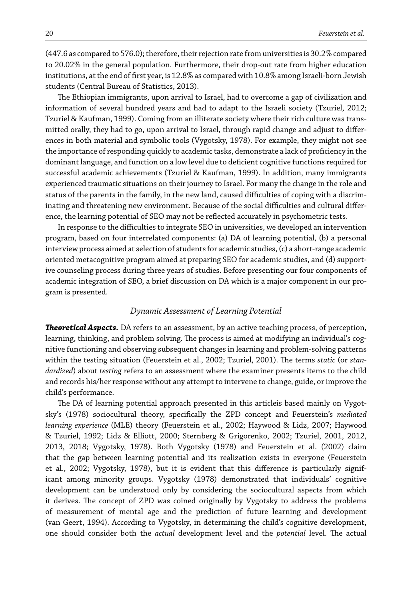(447.6 as compared to 576.0); therefore, their rejection rate from universities is 30.2% compared to 20.02% in the general population. Furthermore, their drop-out rate from higher education institutions, at the end of first year, is 12.8% as compared with 10.8% among Israeli-born Jewish students (Central Bureau of Statistics, 2013).

The Ethiopian immigrants, upon arrival to Israel, had to overcome a gap of civilization and information of several hundred years and had to adapt to the Israeli society (Tzuriel, 2012; Tzuriel & Kaufman, 1999). Coming from an illiterate society where their rich culture was transmitted orally, they had to go, upon arrival to Israel, through rapid change and adjust to differences in both material and symbolic tools (Vygotsky, 1978). For example, they might not see the importance of responding quickly to academic tasks, demonstrate a lack of proficiency in the dominant language, and function on a low level due to deficient cognitive functions required for successful academic achievements (Tzuriel & Kaufman, 1999). In addition, many immigrants experienced traumatic situations on their journey to Israel. For many the change in the role and status of the parents in the family, in the new land, caused difficulties of coping with a discriminating and threatening new environment. Because of the social difficulties and cultural difference, the learning potential of SEO may not be reflected accurately in psychometric tests.

In response to the difficulties to integrate SEO in universities, we developed an intervention program, based on four interrelated components: (a) DA of learning potential, (b) a personal interview process aimed at selection of students for academic studies, (c) a short-range academic oriented metacognitive program aimed at preparing SEO for academic studies, and (d) supportive counseling process during three years of studies. Before presenting our four components of academic integration of SEO, a brief discussion on DA which is a major component in our program is presented.

#### *Dynamic Assessment of Learning Potential*

*Theoretical Aspects.* DA refers to an assessment, by an active teaching process, of perception, learning, thinking, and problem solving. The process is aimed at modifying an individual's cognitive functioning and observing subsequent changes in learning and problem-solving patterns within the testing situation (Feuerstein et al., 2002; Tzuriel, 2001). The terms *static* (or *standardized*) about *testing* refers to an assessment where the examiner presents items to the child and records his/her response without any attempt to intervene to change, guide, or improve the child's performance.

The DA of learning potential approach presented in this articleis based mainly on Vygotsky's (1978) sociocultural theory, specifically the ZPD concept and Feuerstein's *mediated learning experience* (MLE) theory (Feuerstein et al., 2002; Haywood & Lidz, 2007; Haywood & Tzuriel, 1992; Lidz & Elliott, 2000; Sternberg & Grigorenko, 2002; Tzuriel, 2001, 2012, 2013, 2018; Vygotsky, 1978). Both Vygotsky (1978) and Feuerstein et al. (2002) claim that the gap between learning potential and its realization exists in everyone (Feuerstein et al., 2002; Vygotsky, 1978), but it is evident that this difference is particularly significant among minority groups. Vygotsky (1978) demonstrated that individuals' cognitive development can be understood only by considering the sociocultural aspects from which it derives. The concept of ZPD was coined originally by Vygotsky to address the problems of measurement of mental age and the prediction of future learning and development (van Geert, 1994). According to Vygotsky, in determining the child's cognitive development, one should consider both the *actual* development level and the *potential* level. The actual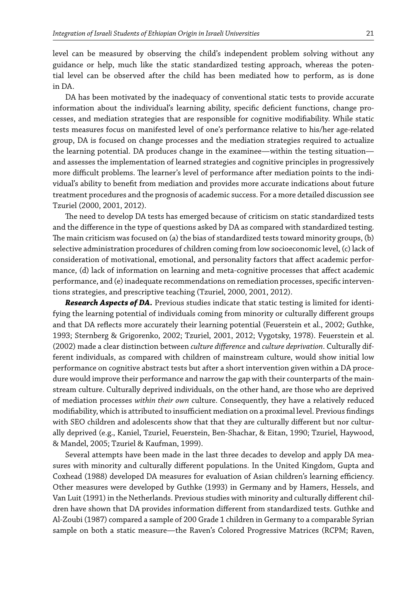level can be measured by observing the child's independent problem solving without any guidance or help, much like the static standardized testing approach, whereas the potential level can be observed after the child has been mediated how to perform, as is done in DA.

DA has been motivated by the inadequacy of conventional static tests to provide accurate information about the individual's learning ability, specific deficient functions, change processes, and mediation strategies that are responsible for cognitive modifiability. While static tests measures focus on manifested level of one's performance relative to his/her age-related group, DA is focused on change processes and the mediation strategies required to actualize the learning potential. DA produces change in the examinee—within the testing situation and assesses the implementation of learned strategies and cognitive principles in progressively more difficult problems. The learner's level of performance after mediation points to the individual's ability to benefit from mediation and provides more accurate indications about future treatment procedures and the prognosis of academic success. For a more detailed discussion see Tzuriel (2000, 2001, 2012).

The need to develop DA tests has emerged because of criticism on static standardized tests and the difference in the type of questions asked by DA as compared with standardized testing. The main criticism was focused on (a) the bias of standardized tests toward minority groups, (b) selective administration procedures of children coming from low socioeconomic level, (c) lack of consideration of motivational, emotional, and personality factors that affect academic performance, (d) lack of information on learning and meta-cognitive processes that affect academic performance, and (e) inadequate recommendations on remediation processes, specific interventions strategies, and prescriptive teaching (Tzuriel, 2000, 2001, 2012).

*Research Aspects of DA.* Previous studies indicate that static testing is limited for identifying the learning potential of individuals coming from minority or culturally different groups and that DA reflects more accurately their learning potential (Feuerstein et al., 2002; Guthke, 1993; Sternberg & Grigorenko, 2002; Tzuriel, 2001, 2012; Vygotsky, 1978). Feuerstein et al. (2002) made a clear distinction between *culture difference* and *culture deprivation*. Culturally different individuals, as compared with children of mainstream culture, would show initial low performance on cognitive abstract tests but after a short intervention given within a DA procedure would improve their performance and narrow the gap with their counterparts of the mainstream culture. Culturally deprived individuals, on the other hand, are those who are deprived of mediation processes *within their own* culture. Consequently, they have a relatively reduced modifiability, which is attributed to insufficient mediation on a proximal level. Previous findings with SEO children and adolescents show that that they are culturally different but nor culturally deprived (e.g., Kaniel, Tzuriel, Feuerstein, Ben-Shachar, & Eitan, 1990; Tzuriel, Haywood, & Mandel, 2005; Tzuriel & Kaufman, 1999).

Several attempts have been made in the last three decades to develop and apply DA measures with minority and culturally different populations. In the United Kingdom, Gupta and Coxhead (1988) developed DA measures for evaluation of Asian children's learning efficiency. Other measures were developed by Guthke (1993) in Germany and by Hamers, Hessels, and Van Luit (1991) in the Netherlands. Previous studies with minority and culturally different children have shown that DA provides information different from standardized tests. Guthke and Al-Zoubi (1987) compared a sample of 200 Grade 1 children in Germany to a comparable Syrian sample on both a static measure—the Raven's Colored Progressive Matrices (RCPM; Raven,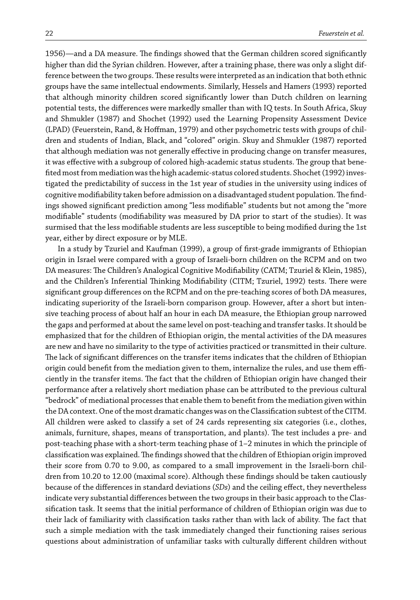1956)—and a DA measure. The findings showed that the German children scored significantly higher than did the Syrian children. However, after a training phase, there was only a slight difference between the two groups. These results were interpreted as an indication that both ethnic groups have the same intellectual endowments. Similarly, Hessels and Hamers (1993) reported that although minority children scored significantly lower than Dutch children on learning potential tests, the differences were markedly smaller than with IQ tests. In South Africa, Skuy and Shmukler (1987) and Shochet (1992) used the Learning Propensity Assessment Device (LPAD) (Feuerstein, Rand, & Hoffman, 1979) and other psychometric tests with groups of children and students of Indian, Black, and "colored" origin. Skuy and Shmukler (1987) reported that although mediation was not generally effective in producing change on transfer measures, it was effective with a subgroup of colored high-academic status students. The group that benefited most from mediation was the high academic-status colored students. Shochet (1992) investigated the predictability of success in the 1st year of studies in the university using indices of cognitive modifiability taken before admission on a disadvantaged student population.The findings showed significant prediction among "less modifiable" students but not among the "more modifiable" students (modifiability was measured by DA prior to start of the studies). It was surmised that the less modifiable students are less susceptible to being modified during the 1st year, either by direct exposure or by MLE.

In a study by Tzuriel and Kaufman (1999), a group of first-grade immigrants of Ethiopian origin in Israel were compared with a group of Israeli-born children on the RCPM and on two DA measures: The Children's Analogical Cognitive Modifiability (CATM; Tzuriel & Klein, 1985), and the Children's Inferential Thinking Modifiability (CITM; Tzuriel, 1992) tests. There were significant group differences on the RCPM and on the pre-teaching scores of both DA measures, indicating superiority of the Israeli-born comparison group. However, after a short but intensive teaching process of about half an hour in each DA measure, the Ethiopian group narrowed the gaps and performed at about the same level on post-teaching and transfer tasks. It should be emphasized that for the children of Ethiopian origin, the mental activities of the DA measures are new and have no similarity to the type of activities practiced or transmitted in their culture. The lack of significant differences on the transfer items indicates that the children of Ethiopian origin could benefit from the mediation given to them, internalize the rules, and use them efficiently in the transfer items. The fact that the children of Ethiopian origin have changed their performance after a relatively short mediation phase can be attributed to the previous cultural "bedrock" of mediational processes that enable them to benefit from the mediation given within the DA context. One of the most dramatic changes was on the Classification subtest of the CITM. All children were asked to classify a set of 24 cards representing six categories (i.e., clothes, animals, furniture, shapes, means of transportation, and plants). The test includes a pre- and post-teaching phase with a short-term teaching phase of 1–2 minutes in which the principle of classification was explained. The findings showed that the children of Ethiopian origin improved their score from 0.70 to 9.00, as compared to a small improvement in the Israeli-born children from 10.20 to 12.00 (maximal score). Although these findings should be taken cautiously because of the differences in standard deviations (*SDs*) and the ceiling effect, they nevertheless indicate very substantial differences between the two groups in their basic approach to the Classification task. It seems that the initial performance of children of Ethiopian origin was due to their lack of familiarity with classification tasks rather than with lack of ability. The fact that such a simple mediation with the task immediately changed their functioning raises serious questions about administration of unfamiliar tasks with culturally different children without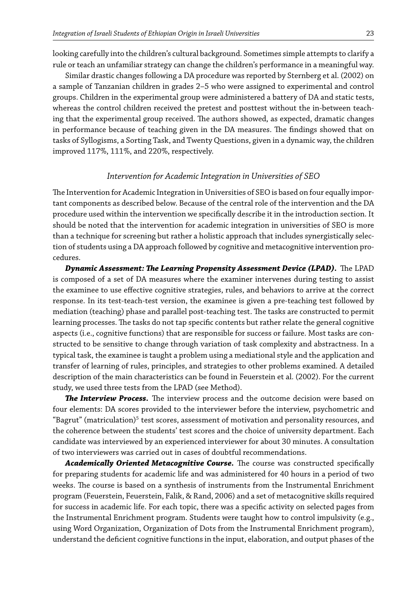looking carefully into the children's cultural background. Sometimes simple attempts to clarify a rule or teach an unfamiliar strategy can change the children's performance in a meaningful way.

Similar drastic changes following a DA procedure was reported by Sternberg et al. (2002) on a sample of Tanzanian children in grades 2–5 who were assigned to experimental and control groups. Children in the experimental group were administered a battery of DA and static tests, whereas the control children received the pretest and posttest without the in-between teaching that the experimental group received. The authors showed, as expected, dramatic changes in performance because of teaching given in the DA measures. The findings showed that on tasks of Syllogisms, a Sorting Task, and Twenty Questions, given in a dynamic way, the children improved 117%, 111%, and 220%, respectively.

### *Intervention for Academic Integration in Universities of SEO*

The Intervention for Academic Integration in Universities of SEO is based on four equally important components as described below. Because of the central role of the intervention and the DA procedure used within the intervention we specifically describe it in the introduction section. It should be noted that the intervention for academic integration in universities of SEO is more than a technique for screening but rather a holistic approach that includes synergistically selection of students using a DA approach followed by cognitive and metacognitive intervention procedures.

*Dynamic Assessment: The Learning Propensity Assessment Device (LPAD).* The LPAD is composed of a set of DA measures where the examiner intervenes during testing to assist the examinee to use effective cognitive strategies, rules, and behaviors to arrive at the correct response. In its test-teach-test version, the examinee is given a pre-teaching test followed by mediation (teaching) phase and parallel post-teaching test. The tasks are constructed to permit learning processes. The tasks do not tap specific contents but rather relate the general cognitive aspects (i.e., cognitive functions) that are responsible for success or failure. Most tasks are constructed to be sensitive to change through variation of task complexity and abstractness. In a typical task, the examinee is taught a problem using a mediational style and the application and transfer of learning of rules, principles, and strategies to other problems examined. A detailed description of the main characteristics can be found in Feuerstein et al. (2002). For the current study, we used three tests from the LPAD (see Method).

*The Interview Process.* The interview process and the outcome decision were based on four elements: DA scores provided to the interviewer before the interview, psychometric and "Bagrut" (matriculation) $^5$  test scores, assessment of motivation and personality resources, and the coherence between the students' test scores and the choice of university department. Each candidate was interviewed by an experienced interviewer for about 30 minutes. A consultation of two interviewers was carried out in cases of doubtful recommendations.

*Academically Oriented Metacognitive Course.* The course was constructed specifically for preparing students for academic life and was administered for 40 hours in a period of two weeks. The course is based on a synthesis of instruments from the Instrumental Enrichment program (Feuerstein, Feuerstein, Falik, & Rand, 2006) and a set of metacognitive skills required for success in academic life. For each topic, there was a specific activity on selected pages from the Instrumental Enrichment program. Students were taught how to control impulsivity (e.g., using Word Organization, Organization of Dots from the Instrumental Enrichment program), understand the deficient cognitive functions in the input, elaboration, and output phases of the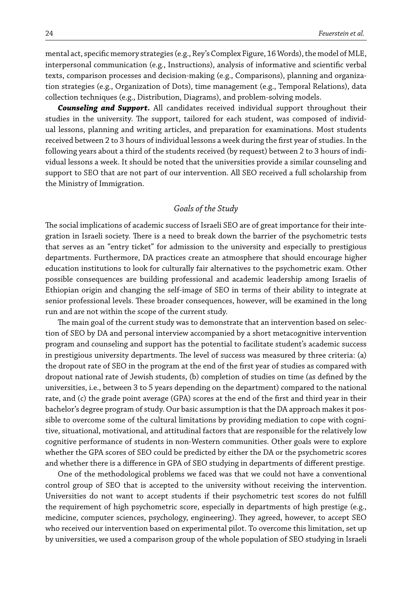mental act, specific memory strategies (e.g., Rey's Complex Figure, 16Words), the model of MLE, interpersonal communication (e.g., Instructions), analysis of informative and scientific verbal texts, comparison processes and decision-making (e.g., Comparisons), planning and organization strategies (e.g., Organization of Dots), time management (e.g., Temporal Relations), data collection techniques (e.g., Distribution, Diagrams), and problem-solving models.

*Counseling and Support.* All candidates received individual support throughout their studies in the university. The support, tailored for each student, was composed of individual lessons, planning and writing articles, and preparation for examinations. Most students received between 2 to 3 hours of individual lessons a week during the first year of studies. In the following years about a third of the students received (by request) between 2 to 3 hours of individual lessons a week. It should be noted that the universities provide a similar counseling and support to SEO that are not part of our intervention. All SEO received a full scholarship from the Ministry of Immigration.

#### *Goals of the Study*

The social implications of academic success of Israeli SEO are of great importance for their integration in Israeli society. There is a need to break down the barrier of the psychometric tests that serves as an "entry ticket" for admission to the university and especially to prestigious departments. Furthermore, DA practices create an atmosphere that should encourage higher education institutions to look for culturally fair alternatives to the psychometric exam. Other possible consequences are building professional and academic leadership among Israelis of Ethiopian origin and changing the self-image of SEO in terms of their ability to integrate at senior professional levels. These broader consequences, however, will be examined in the long run and are not within the scope of the current study.

The main goal of the current study was to demonstrate that an intervention based on selection of SEO by DA and personal interview accompanied by a short metacognitive intervention program and counseling and support has the potential to facilitate student's academic success in prestigious university departments. The level of success was measured by three criteria: (a) the dropout rate of SEO in the program at the end of the first year of studies as compared with dropout national rate of Jewish students, (b) completion of studies on time (as defined by the universities, i.e., between 3 to 5 years depending on the department) compared to the national rate, and (c) the grade point average (GPA) scores at the end of the first and third year in their bachelor's degree program of study. Our basic assumption is that the DA approach makes it possible to overcome some of the cultural limitations by providing mediation to cope with cognitive, situational, motivational, and attitudinal factors that are responsible for the relatively low cognitive performance of students in non-Western communities. Other goals were to explore whether the GPA scores of SEO could be predicted by either the DA or the psychometric scores and whether there is a difference in GPA of SEO studying in departments of different prestige.

One of the methodological problems we faced was that we could not have a conventional control group of SEO that is accepted to the university without receiving the intervention. Universities do not want to accept students if their psychometric test scores do not fulfill the requirement of high psychometric score, especially in departments of high prestige (e.g., medicine, computer sciences, psychology, engineering). They agreed, however, to accept SEO who received our intervention based on experimental pilot. To overcome this limitation, set up by universities, we used a comparison group of the whole population of SEO studying in Israeli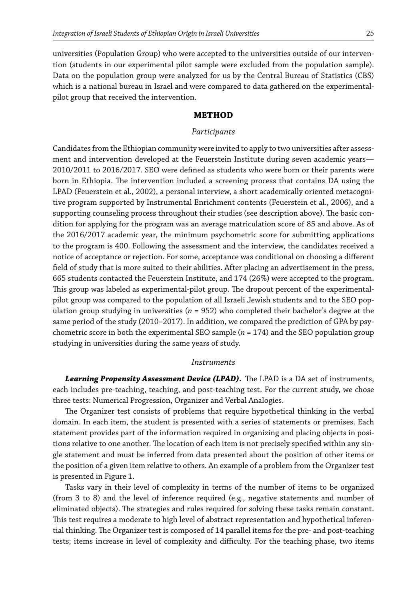universities (Population Group) who were accepted to the universities outside of our intervention (students in our experimental pilot sample were excluded from the population sample). Data on the population group were analyzed for us by the Central Bureau of Statistics (CBS) which is a national bureau in Israel and were compared to data gathered on the experimentalpilot group that received the intervention.

## **METHOD**

#### *Participants*

Candidates from the Ethiopian community were invited to apply to two universities after assessment and intervention developed at the Feuerstein Institute during seven academic years— 2010/2011 to 2016/2017. SEO were defined as students who were born or their parents were born in Ethiopia. The intervention included a screening process that contains DA using the LPAD (Feuerstein et al., 2002), a personal interview, a short academically oriented metacognitive program supported by Instrumental Enrichment contents (Feuerstein et al., 2006), and a supporting counseling process throughout their studies (see description above). The basic condition for applying for the program was an average matriculation score of 85 and above. As of the 2016/2017 academic year, the minimum psychometric score for submitting applications to the program is 400. Following the assessment and the interview, the candidates received a notice of acceptance or rejection. For some, acceptance was conditional on choosing a different field of study that is more suited to their abilities. After placing an advertisement in the press, 665 students contacted the Feuerstein Institute, and 174 (26%) were accepted to the program. This group was labeled as experimental-pilot group. The dropout percent of the experimentalpilot group was compared to the population of all Israeli Jewish students and to the SEO population group studying in universities (*n* = 952) who completed their bachelor's degree at the same period of the study (2010–2017). In addition, we compared the prediction of GPA by psychometric score in both the experimental SEO sample (*n* = 174) and the SEO population group studying in universities during the same years of study.

#### *Instruments*

*Learning Propensity Assessment Device (LPAD).* The LPAD is a DA set of instruments, each includes pre-teaching, teaching, and post-teaching test. For the current study, we chose three tests: Numerical Progression, Organizer and Verbal Analogies.

The Organizer test consists of problems that require hypothetical thinking in the verbal domain. In each item, the student is presented with a series of statements or premises. Each statement provides part of the information required in organizing and placing objects in positions relative to one another. The location of each item is not precisely specified within any single statement and must be inferred from data presented about the position of other items or the position of a given item relative to others. An example of a problem from the Organizer test is presented in Figure 1.

Tasks vary in their level of complexity in terms of the number of items to be organized (from 3 to 8) and the level of inference required (e.g., negative statements and number of eliminated objects). The strategies and rules required for solving these tasks remain constant. This test requires a moderate to high level of abstract representation and hypothetical inferential thinking. The Organizer test is composed of 14 parallel items for the pre- and post-teaching tests; items increase in level of complexity and difficulty. For the teaching phase, two items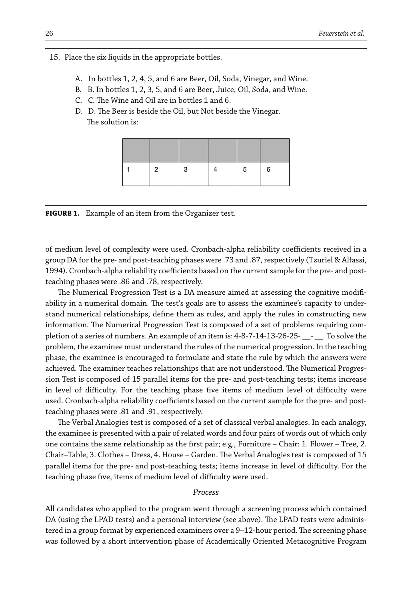15. Place the six liquids in the appropriate bottles.

- A. In bottles 1, 2, 4, 5, and 6 are Beer, Oil, Soda, Vinegar, and Wine.
- B. B. In bottles 1, 2, 3, 5, and 6 are Beer, Juice, Oil, Soda, and Wine.
- C. C. The Wine and Oil are in bottles 1 and 6.
- D. D. The Beer is beside the Oil, but Not beside the Vinegar. The solution is:

| 2 | n | b. | 6 |
|---|---|----|---|

**FIGURE 1.** Example of an item from the Organizer test.

of medium level of complexity were used. Cronbach-alpha reliability coefficients received in a group DA for the pre- and post-teaching phases were .73 and .87, respectively (Tzuriel & Alfassi, 1994). Cronbach-alpha reliability coefficients based on the current sample for the pre- and postteaching phases were .86 and .78, respectively.

The Numerical Progression Test is a DA measure aimed at assessing the cognitive modifiability in a numerical domain. The test's goals are to assess the examinee's capacity to understand numerical relationships, define them as rules, and apply the rules in constructing new information. The Numerical Progression Test is composed of a set of problems requiring completion of a series of numbers. An example of an item is: 4-8-7-14-13-26-25- \_\_- \_\_. To solve the problem, the examinee must understand the rules of the numerical progression. In the teaching phase, the examinee is encouraged to formulate and state the rule by which the answers were achieved. The examiner teaches relationships that are not understood. The Numerical Progression Test is composed of 15 parallel items for the pre- and post-teaching tests; items increase in level of difficulty. For the teaching phase five items of medium level of difficulty were used. Cronbach-alpha reliability coefficients based on the current sample for the pre- and postteaching phases were .81 and .91, respectively.

The Verbal Analogies test is composed of a set of classical verbal analogies. In each analogy, the examinee is presented with a pair of related words and four pairs of words out of which only one contains the same relationship as the first pair; e.g., Furniture – Chair: 1. Flower – Tree, 2. Chair–Table, 3. Clothes – Dress, 4. House – Garden. The Verbal Analogies test is composed of 15 parallel items for the pre- and post-teaching tests; items increase in level of difficulty. For the teaching phase five, items of medium level of difficulty were used.

#### *Process*

All candidates who applied to the program went through a screening process which contained DA (using the LPAD tests) and a personal interview (see above). The LPAD tests were administered in a group format by experienced examiners over a 9–12-hour period. The screening phase was followed by a short intervention phase of Academically Oriented Metacognitive Program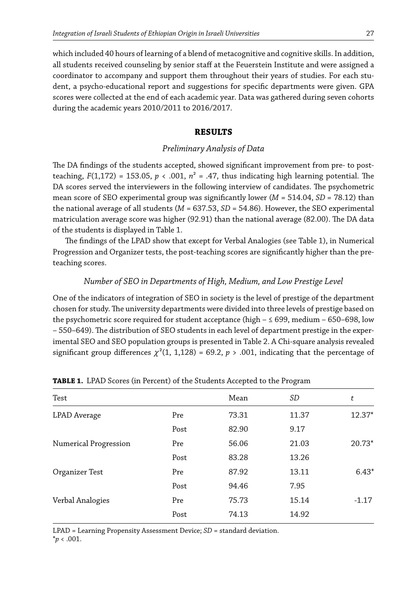which included 40 hours of learning of a blend of metacognitive and cognitive skills. In addition, all students received counseling by senior staff at the Feuerstein Institute and were assigned a coordinator to accompany and support them throughout their years of studies. For each student, a psycho-educational report and suggestions for specific departments were given. GPA scores were collected at the end of each academic year. Data was gathered during seven cohorts during the academic years 2010/2011 to 2016/2017.

## **RESULTS**

## *Preliminary Analysis of Data*

The DA findings of the students accepted, showed significant improvement from pre- to postteaching,  $F(1,172) = 153.05$ ,  $p < .001$ ,  $n^2 = .47$ , thus indicating high learning potential. The DA scores served the interviewers in the following interview of candidates. The psychometric mean score of SEO experimental group was significantly lower (*M* = 514.04, *SD* = 78.12) than the national average of all students (*M* = 637.53, *SD* = 54.86). However, the SEO experimental matriculation average score was higher (92.91) than the national average (82.00). The DA data of the students is displayed in Table 1.

The findings of the LPAD show that except for Verbal Analogies (see Table 1), in Numerical Progression and Organizer tests, the post-teaching scores are significantly higher than the preteaching scores.

## *Number of SEO in Departments of High, Medium, and Low Prestige Level*

One of the indicators of integration of SEO in society is the level of prestige of the department chosen for study. The university departments were divided into three levels of prestige based on the psychometric score required for student acceptance (high  $- \leq 699$ , medium – 650–698, low – 550–649). The distribution of SEO students in each level of department prestige in the experimental SEO and SEO population groups is presented in Table 2. A Chi-square analysis revealed significant group differences  $\chi^2(1, 1, 1, 128) = 69.2, p > .001$ , indicating that the percentage of

|      | Mean  | SD    | t        |
|------|-------|-------|----------|
| Pre  | 73.31 | 11.37 | 12.37*   |
| Post | 82.90 | 9.17  |          |
| Pre  | 56.06 | 21.03 | $20.73*$ |
| Post | 83.28 | 13.26 |          |
| Pre  | 87.92 | 13.11 | $6.43*$  |
| Post | 94.46 | 7.95  |          |
| Pre  | 75.73 | 15.14 | $-1.17$  |
| Post | 74.13 | 14.92 |          |
|      |       |       |          |

**TABLE 1.** LPAD Scores (in Percent) of the Students Accepted to the Program

LPAD = Learning Propensity Assessment Device; *SD* = standard deviation.  $*_{p}$  < .001.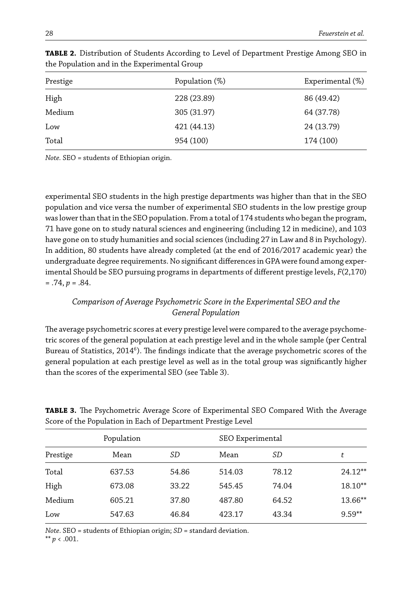| Prestige | Population (%) | Experimental (%) |
|----------|----------------|------------------|
| High     | 228 (23.89)    | 86 (49.42)       |
| Medium   | 305 (31.97)    | 64 (37.78)       |
| Low      | 421 (44.13)    | 24 (13.79)       |
| Total    | 954 (100)      | 174 (100)        |

**TABLE 2.** Distribution of Students According to Level of Department Prestige Among SEO in the Population and in the Experimental Group

*Note.* SEO = students of Ethiopian origin.

experimental SEO students in the high prestige departments was higher than that in the SEO population and vice versa the number of experimental SEO students in the low prestige group was lower than that in the SEO population. From a total of 174 students who began the program, 71 have gone on to study natural sciences and engineering (including 12 in medicine), and 103 have gone on to study humanities and social sciences (including 27 in Law and 8 in Psychology). In addition, 80 students have already completed (at the end of 2016/2017 academic year) the undergraduate degree requirements. No significant differences in GPA were found among experimental Should be SEO pursuing programs in departments of different prestige levels, *F*(2,170)  $= .74, p = .84.$ 

# *Comparison of Average Psychometric Score in the Experimental SEO and the General Population*

The average psychometric scores at every prestige level were compared to the average psychometric scores of the general population at each prestige level and in the whole sample (per Central Bureau of Statistics, 2014 $^6$ ). The findings indicate that the average psychometric scores of the general population at each prestige level as well as in the total group was significantly higher than the scores of the experimental SEO (see Table 3).

| Population |        |       |        | SEO Experimental |           |  |
|------------|--------|-------|--------|------------------|-----------|--|
| Prestige   | Mean   | SD    | Mean   | SD               | t         |  |
| Total      | 637.53 | 54.86 | 514.03 | 78.12            | $24.12**$ |  |
| High       | 673.08 | 33.22 | 545.45 | 74.04            | $18.10**$ |  |
| Medium     | 605.21 | 37.80 | 487.80 | 64.52            | 13.66**   |  |
| Low        | 547.63 | 46.84 | 423.17 | 43.34            | $9.59**$  |  |

**TABLE 3.** The Psychometric Average Score of Experimental SEO Compared With the Average Score of the Population in Each of Department Prestige Level

*Note*. SEO = students of Ethiopian origin; *SD* = standard deviation.

\*\* *p* < .001.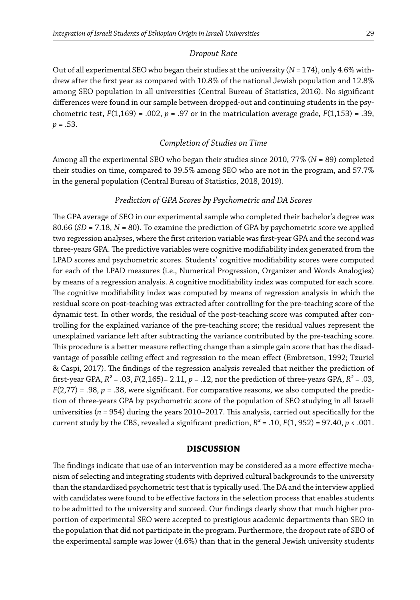#### *Dropout Rate*

Out of all experimental SEO who began their studies at the university (*N* = 174), only 4.6% withdrew after the first year as compared with 10.8% of the national Jewish population and 12.8% among SEO population in all universities (Central Bureau of Statistics, 2016). No significant differences were found in our sample between dropped-out and continuing students in the psychometric test, *F*(1,169) = .002, *p* = .97 or in the matriculation average grade, *F*(1,153) = .39, *p* = .53.

### *Completion of Studies on Time*

Among all the experimental SEO who began their studies since 2010, 77% (*N* = 89) completed their studies on time, compared to 39.5% among SEO who are not in the program, and 57.7% in the general population (Central Bureau of Statistics, 2018, 2019).

#### *Prediction of GPA Scores by Psychometric and DA Scores*

The GPA average of SEO in our experimental sample who completed their bachelor's degree was 80.66 (*SD* = 7.18, *N* = 80). To examine the prediction of GPA by psychometric score we applied two regression analyses, where the first criterion variable was first-year GPA and the second was three-years GPA. The predictive variables were cognitive modifiability index generated from the LPAD scores and psychometric scores. Students' cognitive modifiability scores were computed for each of the LPAD measures (i.e., Numerical Progression, Organizer and Words Analogies) by means of a regression analysis. A cognitive modifiability index was computed for each score. The cognitive modifiability index was computed by means of regression analysis in which the residual score on post-teaching was extracted after controlling for the pre-teaching score of the dynamic test. In other words, the residual of the post-teaching score was computed after controlling for the explained variance of the pre-teaching score; the residual values represent the unexplained variance left after subtracting the variance contributed by the pre-teaching score. This procedure is a better measure reflecting change than a simple gain score that has the disadvantage of possible ceiling effect and regression to the mean effect (Embretson, 1992; Tzuriel & Caspi, 2017). The findings of the regression analysis revealed that neither the prediction of first-year GPA, *R²* = .03, *F*(2,165)= 2.11, *p* = .12, nor the prediction of three-years GPA, *R²* = .03,  $F(2,77) = .98$ ,  $p = .38$ , were significant. For comparative reasons, we also computed the prediction of three-years GPA by psychometric score of the population of SEO studying in all Israeli universities (*n* = 954) during the years 2010–2017. This analysis, carried out specifically for the current study by the CBS, revealed a significant prediction,  $R^2$  = .10,  $F(1, 952)$  = 97.40,  $p < .001$ .

## **DISCUSSION**

The findings indicate that use of an intervention may be considered as a more effective mechanism of selecting and integrating students with deprived cultural backgrounds to the university than the standardized psychometric test that is typically used. The DA and the interview applied with candidates were found to be effective factors in the selection process that enables students to be admitted to the university and succeed. Our findings clearly show that much higher proportion of experimental SEO were accepted to prestigious academic departments than SEO in the population that did not participate in the program. Furthermore, the dropout rate of SEO of the experimental sample was lower (4.6%) than that in the general Jewish university students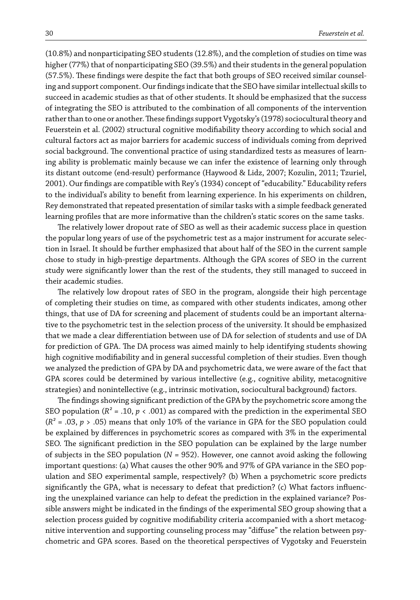(10.8%) and nonparticipating SEO students (12.8%), and the completion of studies on time was higher (77%) that of nonparticipating SEO (39.5%) and their students in the general population (57.5%). These findings were despite the fact that both groups of SEO received similar counseling and support component. Our findings indicate that the SEO have similar intellectual skills to succeed in academic studies as that of other students. It should be emphasized that the success of integrating the SEO is attributed to the combination of all components of the intervention rather than to one or another. These findings support Vygotsky's (1978) sociocultural theory and Feuerstein et al. (2002) structural cognitive modifiability theory according to which social and cultural factors act as major barriers for academic success of individuals coming from deprived social background. The conventional practice of using standardized tests as measures of learning ability is problematic mainly because we can infer the existence of learning only through its distant outcome (end-result) performance (Haywood & Lidz, 2007; Kozulin, 2011; Tzuriel, 2001). Our findings are compatible with Rey's (1934) concept of "educability." Educability refers to the individual's ability to benefit from learning experience. In his experiments on children, Rey demonstrated that repeated presentation of similar tasks with a simple feedback generated learning profiles that are more informative than the children's static scores on the same tasks.

The relatively lower dropout rate of SEO as well as their academic success place in question the popular long years of use of the psychometric test as a major instrument for accurate selection in Israel. It should be further emphasized that about half of the SEO in the current sample chose to study in high-prestige departments. Although the GPA scores of SEO in the current study were significantly lower than the rest of the students, they still managed to succeed in their academic studies.

The relatively low dropout rates of SEO in the program, alongside their high percentage of completing their studies on time, as compared with other students indicates, among other things, that use of DA for screening and placement of students could be an important alternative to the psychometric test in the selection process of the university. It should be emphasized that we made a clear differentiation between use of DA for selection of students and use of DA for prediction of GPA. The DA process was aimed mainly to help identifying students showing high cognitive modifiability and in general successful completion of their studies. Even though we analyzed the prediction of GPA by DA and psychometric data, we were aware of the fact that GPA scores could be determined by various intellective (e.g., cognitive ability, metacognitive strategies) and nonintellective (e.g., intrinsic motivation, sociocultural background) factors.

The findings showing significant prediction of the GPA by the psychometric score among the SEO population ( $R^2$  = .10,  $p \lt 0.001$ ) as compared with the prediction in the experimental SEO (*R²* = .03, *p* > .05) means that only 10% of the variance in GPA for the SEO population could be explained by differences in psychometric scores as compared with 3% in the experimental SEO. The significant prediction in the SEO population can be explained by the large number of subjects in the SEO population (*N* = 952). However, one cannot avoid asking the following important questions: (a) What causes the other 90% and 97% of GPA variance in the SEO population and SEO experimental sample, respectively? (b) When a psychometric score predicts significantly the GPA, what is necessary to defeat that prediction? (c) What factors influencing the unexplained variance can help to defeat the prediction in the explained variance? Possible answers might be indicated in the findings of the experimental SEO group showing that a selection process guided by cognitive modifiability criteria accompanied with a short metacognitive intervention and supporting counseling process may "diffuse" the relation between psychometric and GPA scores. Based on the theoretical perspectives of Vygotsky and Feuerstein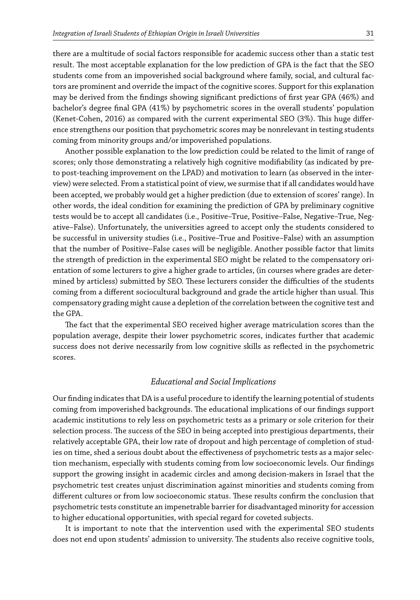there are a multitude of social factors responsible for academic success other than a static test result. The most acceptable explanation for the low prediction of GPA is the fact that the SEO students come from an impoverished social background where family, social, and cultural factors are prominent and override the impact of the cognitive scores. Support for this explanation may be derived from the findings showing significant predictions of first year GPA (46%) and bachelor's degree final GPA (41%) by psychometric scores in the overall students' population (Kenet-Cohen, 2016) as compared with the current experimental SEO (3%). This huge difference strengthens our position that psychometric scores may be nonrelevant in testing students coming from minority groups and/or impoverished populations.

Another possible explanation to the low prediction could be related to the limit of range of scores; only those demonstrating a relatively high cognitive modifiability (as indicated by preto post-teaching improvement on the LPAD) and motivation to learn (as observed in the interview) were selected. From a statistical point of view, we surmise that if all candidates would have been accepted, we probably would get a higher prediction (due to extension of scores' range). In other words, the ideal condition for examining the prediction of GPA by preliminary cognitive tests would be to accept all candidates (i.e., Positive–True, Positive–False, Negative–True, Negative–False). Unfortunately, the universities agreed to accept only the students considered to be successful in university studies (i.e., Positive–True and Positive–False) with an assumption that the number of Positive–False cases will be negligible. Another possible factor that limits the strength of prediction in the experimental SEO might be related to the compensatory orientation of some lecturers to give a higher grade to articles, (in courses where grades are determined by articless) submitted by SEO. These lecturers consider the difficulties of the students coming from a different sociocultural background and grade the article higher than usual. This compensatory grading might cause a depletion of the correlation between the cognitive test and the GPA.

The fact that the experimental SEO received higher average matriculation scores than the population average, despite their lower psychometric scores, indicates further that academic success does not derive necessarily from low cognitive skills as reflected in the psychometric scores.

#### *Educational and Social Implications*

Our finding indicates that DA is a useful procedure to identify the learning potential of students coming from impoverished backgrounds. The educational implications of our findings support academic institutions to rely less on psychometric tests as a primary or sole criterion for their selection process. The success of the SEO in being accepted into prestigious departments, their relatively acceptable GPA, their low rate of dropout and high percentage of completion of studies on time, shed a serious doubt about the effectiveness of psychometric tests as a major selection mechanism, especially with students coming from low socioeconomic levels. Our findings support the growing insight in academic circles and among decision-makers in Israel that the psychometric test creates unjust discrimination against minorities and students coming from different cultures or from low socioeconomic status. These results confirm the conclusion that psychometric tests constitute an impenetrable barrier for disadvantaged minority for accession to higher educational opportunities, with special regard for coveted subjects.

It is important to note that the intervention used with the experimental SEO students does not end upon students' admission to university. The students also receive cognitive tools,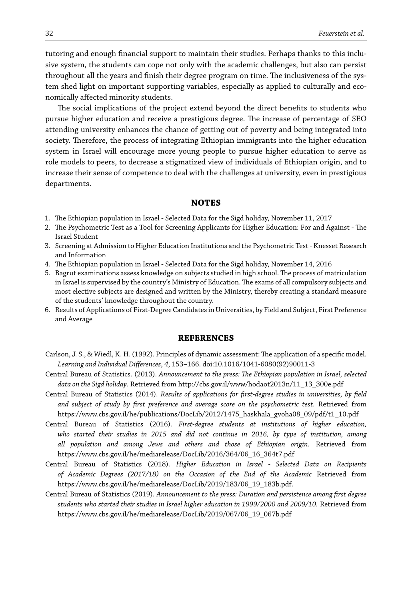tutoring and enough financial support to maintain their studies. Perhaps thanks to this inclusive system, the students can cope not only with the academic challenges, but also can persist throughout all the years and finish their degree program on time. The inclusiveness of the system shed light on important supporting variables, especially as applied to culturally and economically affected minority students.

The social implications of the project extend beyond the direct benefits to students who pursue higher education and receive a prestigious degree. The increase of percentage of SEO attending university enhances the chance of getting out of poverty and being integrated into society. Therefore, the process of integrating Ethiopian immigrants into the higher education system in Israel will encourage more young people to pursue higher education to serve as role models to peers, to decrease a stigmatized view of individuals of Ethiopian origin, and to increase their sense of competence to deal with the challenges at university, even in prestigious departments.

#### **NOTES**

- 1. The Ethiopian population in Israel Selected Data for the Sigd holiday, November 11, 2017
- 2. The Psychometric Test as a Tool for Screening Applicants for Higher Education: For and Against The Israel Student
- 3. Screening at Admission to Higher Education Institutions and the Psychometric Test Knesset Research and Information
- 4. The Ethiopian population in Israel Selected Data for the Sigd holiday, November 14, 2016
- 5. Bagrut examinations assess knowledge on subjects studied in high school. The process of matriculation in Israel is supervised by the country's Ministry of Education. The exams of all compulsory subjects and most elective subjects are designed and written by the Ministry, thereby creating a standard measure of the students' knowledge throughout the country.
- 6. Results of Applications of First-Degree Candidates in Universities, by Field and Subject, First Preference and Average

#### **REFERENCES**

- Carlson, J. S., & Wiedl, K. H. (1992). Principles of dynamic assessment: The application of a specific model. *Learning and Individual Differences*, *4*, 153–166. doi:10.1016/1041-6080(92)90011-3
- Central Bureau of Statistics. (2013). *Announcement to the press: The Ethiopian population in Israel, selected data on the Sigd holiday*. Retrieved from http://cbs.gov.il/www/hodaot2013n/11\_13\_300e.pdf
- Central Bureau of Statistics (2014). *Results of applications for first-degree studies in universities, by field and subject of study by first preference and average score on the psychometric test.* Retrieved from https://www.cbs.gov.il/he/publications/DocLib/2012/1475\_haskhala\_gvoha08\_09/pdf/t1\_10.pdf
- Central Bureau of Statistics (2016). *First-degree students at institutions of higher education, who started their studies in 2015 and did not continue in 2016, by type of institution, among all population and among Jews and others and those of Ethiopian origin.* Retrieved from https://www.cbs.gov.il/he/mediarelease/DocLib/2016/364/06\_16\_364t7.pdf
- Central Bureau of Statistics (2018). *Higher Education in Israel Selected Data on Recipients of Academic Degrees (2017/18) on the Occasion of the End of the Academic* Retrieved from https://www.cbs.gov.il/he/mediarelease/DocLib/2019/183/06\_19\_183b.pdf.
- Central Bureau of Statistics (2019). *Announcement to the press: Duration and persistence among first degree students who started their studies in Israel higher education in 1999/2000 and 2009/10.* Retrieved from https://www.cbs.gov.il/he/mediarelease/DocLib/2019/067/06\_19\_067b.pdf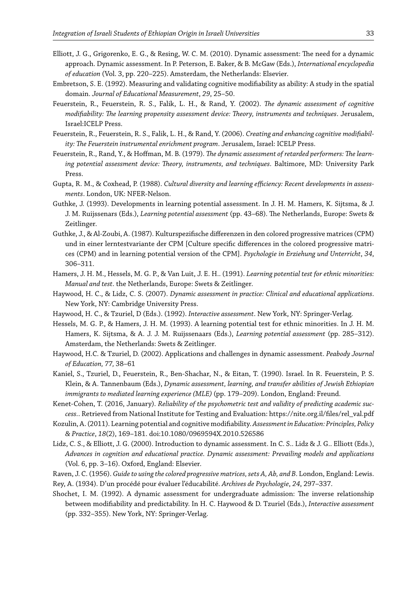- Elliott, J. G., Grigorenko, E. G., & Resing, W. C. M. (2010). Dynamic assessment: The need for a dynamic approach. Dynamic assessment. In P. Peterson, E. Baker, & B. McGaw (Eds.), *International encyclopedia of education* (Vol. 3, pp. 220–225). Amsterdam, the Netherlands: Elsevier.
- Embretson, S. E. (1992). Measuring and validating cognitive modifiability as ability: A study in the spatial domain. *Journal of Educational Measurement*, *29*, 25–50.
- Feuerstein, R., Feuerstein, R. S., Falik, L. H., & Rand, Y. (2002). *The dynamic assessment of cognitive modifiability: The learning propensity assessment device: Theory, instruments and techniques*. Jerusalem, Israel:ICELP Press.
- Feuerstein, R., Feuerstein, R. S., Falik, L. H., & Rand, Y. (2006). *Creating and enhancing cognitive modifiability: The Feuerstein instrumental enrichment program*. Jerusalem, Israel: ICELP Press.
- Feuerstein, R., Rand, Y., & Hoffman, M. B. (1979). *The dynamic assessment of retarded performers: The learning potential assessment device: Theory, instruments, and techniques*. Baltimore, MD: University Park Press.
- Gupta, R. M., & Coxhead, P. (1988). *Cultural diversity and learning efficiency: Recent developments in assessments*. London, UK: NFER-Nelson.
- Guthke, J. (1993). Developments in learning potential assessment. In J. H. M. Hamers, K. Sijtsma, & J. J. M. Ruijssenars (Eds.), *Learning potential assessment* (pp. 43–68). The Netherlands, Europe: Swets & Zeitlinger.
- Guthke, J., & Al-Zoubi, A. (1987). Kulturspezifische differenzen in den colored progressive matrices (CPM) und in einer lerntestvariante der CPM [Culture specific differences in the colored progressive matrices (CPM) and in learning potential version of the CPM]. *Psychologie in Erziehung und Unterricht*, *34*, 306–311.
- Hamers, J. H. M., Hessels, M. G. P., & Van Luit, J. E. H.. (1991). *Learning potential test for ethnic minorities: Manual and test*. the Netherlands, Europe: Swets & Zeitlinger.
- Haywood, H. C., & Lidz, C. S. (2007). *Dynamic assessment in practice: Clinical and educational applications*. New York, NY: Cambridge University Press.
- Haywood, H. C., & Tzuriel, D (Eds.). (1992). *Interactive assessment*. New York, NY: Springer-Verlag.
- Hessels, M. G. P., & Hamers, J. H. M. (1993). A learning potential test for ethnic minorities. In J. H. M. Hamers, K. Sijtsma, & A. J. J. M. Ruijssenaars (Eds.), *Learning potential assessment* (pp. 285–312). Amsterdam, the Netherlands: Swets & Zeitlinger.
- Haywood, H.C. & Tzuriel, D. (2002). Applications and challenges in dynamic assessment. *Peabody Journal of Education, 77,* 38–61
- Kaniel, S., Tzuriel, D., Feuerstein, R., Ben-Shachar, N., & Eitan, T. (1990). Israel. In R. Feuerstein, P. S. Klein, & A. Tannenbaum (Eds.), *Dynamic assessment, learning, and transfer abilities of Jewish Ethiopian immigrants to mediated learning experience (MLE)* (pp. 179–209). London, England: Freund.
- Kenet-Cohen, T. (2016, January). *Reliability of the psychometric test and validity of predicting academic success.*. Retrieved from National Institute for Testing and Evaluation: https://nite.org.il/files/rel\_val.pdf
- Kozulin, A. (2011). Learning potential and cognitive modifiability. *Assessment in Education: Principles, Policy & Practice*, *18*(2), 169–181. doi:10.1080/0969594X.2010.526586
- Lidz, C. S., & Elliott, J. G. (2000). Introduction to dynamic assessment. In C. S.. Lidz & J. G.. Elliott (Eds.), *Advances in cognition and educational practice. Dynamic assessment: Prevailing models and applications* (Vol. 6, pp. 3–16). Oxford, England: Elsevier.
- Raven, J. C. (1956). *Guide to using the colored progressive matrices, sets A, Ab, and B*. London, England: Lewis.
- Rey, A. (1934). D'un procédé pour évaluer l'éducabilité. *Archives de Psychologie*, *24*, 297–337.
- Shochet, I. M. (1992). A dynamic assessment for undergraduate admission: The inverse relationship between modifiability and predictability. In H. C. Haywood & D. Tzuriel (Eds.), *Interactive assessment* (pp. 332–355). New York, NY: Springer-Verlag.